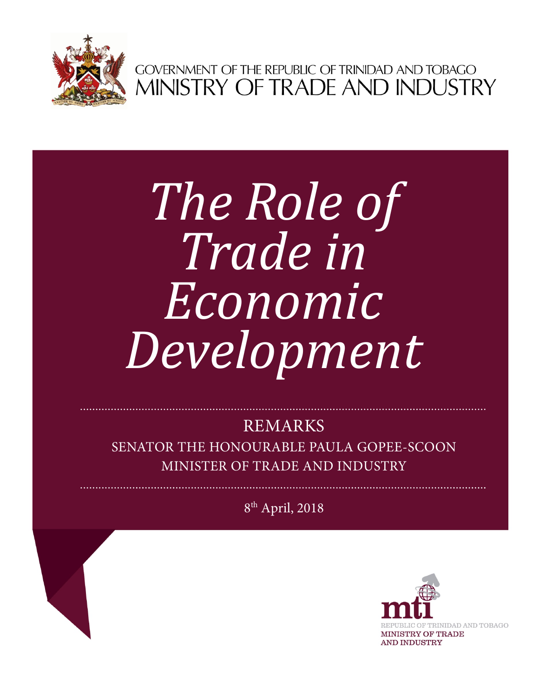

GOVERNMENT OF THE REPUBLIC OF TRINIDAD AND TOBAGO<br>MINISTRY OF TRADE AND INDUSTRY

## *The Role of Trade in Economic Development*

## REMARKS

SENATOR THE HONOURABLE PAULA GOPEE-SCOON MINISTER OF TRADE AND INDUSTRY

8th April, 2018

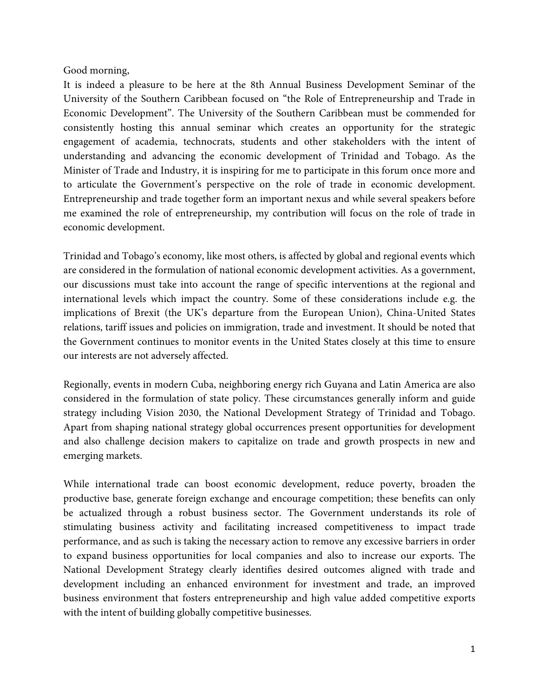## Good morning,

It is indeed a pleasure to be here at the 8th Annual Business Development Seminar of the University of the Southern Caribbean focused on "the Role of Entrepreneurship and Trade in Economic Development". The University of the Southern Caribbean must be commended for consistently hosting this annual seminar which creates an opportunity for the strategic engagement of academia, technocrats, students and other stakeholders with the intent of understanding and advancing the economic development of Trinidad and Tobago. As the Minister of Trade and Industry, it is inspiring for me to participate in this forum once more and to articulate the Government's perspective on the role of trade in economic development. Entrepreneurship and trade together form an important nexus and while several speakers before me examined the role of entrepreneurship, my contribution will focus on the role of trade in economic development.

Trinidad and Tobago's economy, like most others, is affected by global and regional events which are considered in the formulation of national economic development activities. As a government, our discussions must take into account the range of specific interventions at the regional and international levels which impact the country. Some of these considerations include e.g. the implications of Brexit (the UK's departure from the European Union), China-United States relations, tariff issues and policies on immigration, trade and investment. It should be noted that the Government continues to monitor events in the United States closely at this time to ensure our interests are not adversely affected.

Regionally, events in modern Cuba, neighboring energy rich Guyana and Latin America are also considered in the formulation of state policy. These circumstances generally inform and guide strategy including Vision 2030, the National Development Strategy of Trinidad and Tobago. Apart from shaping national strategy global occurrences present opportunities for development and also challenge decision makers to capitalize on trade and growth prospects in new and emerging markets.

While international trade can boost economic development, reduce poverty, broaden the productive base, generate foreign exchange and encourage competition; these benefits can only be actualized through a robust business sector. The Government understands its role of stimulating business activity and facilitating increased competitiveness to impact trade performance, and as such is taking the necessary action to remove any excessive barriers in order to expand business opportunities for local companies and also to increase our exports. The National Development Strategy clearly identifies desired outcomes aligned with trade and development including an enhanced environment for investment and trade, an improved business environment that fosters entrepreneurship and high value added competitive exports with the intent of building globally competitive businesses.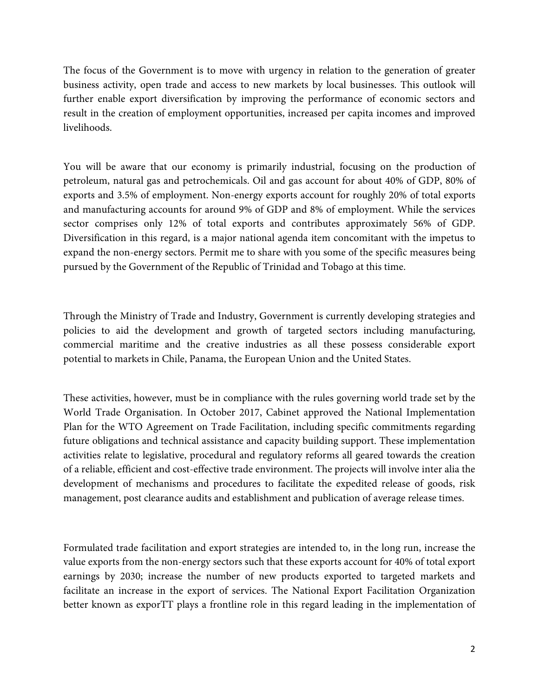The focus of the Government is to move with urgency in relation to the generation of greater business activity, open trade and access to new markets by local businesses. This outlook will further enable export diversification by improving the performance of economic sectors and result in the creation of employment opportunities, increased per capita incomes and improved livelihoods.

You will be aware that our economy is primarily industrial, focusing on the production of petroleum, natural gas and petrochemicals. Oil and gas account for about 40% of GDP, 80% of exports and 3.5% of employment. Non-energy exports account for roughly 20% of total exports and manufacturing accounts for around 9% of GDP and 8% of employment. While the services sector comprises only 12% of total exports and contributes approximately 56% of GDP. Diversification in this regard, is a major national agenda item concomitant with the impetus to expand the non-energy sectors. Permit me to share with you some of the specific measures being pursued by the Government of the Republic of Trinidad and Tobago at this time.

Through the Ministry of Trade and Industry, Government is currently developing strategies and policies to aid the development and growth of targeted sectors including manufacturing, commercial maritime and the creative industries as all these possess considerable export potential to markets in Chile, Panama, the European Union and the United States.

These activities, however, must be in compliance with the rules governing world trade set by the World Trade Organisation. In October 2017, Cabinet approved the National Implementation Plan for the WTO Agreement on Trade Facilitation, including specific commitments regarding future obligations and technical assistance and capacity building support. These implementation activities relate to legislative, procedural and regulatory reforms all geared towards the creation of a reliable, efficient and cost-effective trade environment. The projects will involve inter alia the development of mechanisms and procedures to facilitate the expedited release of goods, risk management, post clearance audits and establishment and publication of average release times.

Formulated trade facilitation and export strategies are intended to, in the long run, increase the value exports from the non-energy sectors such that these exports account for 40% of total export earnings by 2030; increase the number of new products exported to targeted markets and facilitate an increase in the export of services. The National Export Facilitation Organization better known as exporTT plays a frontline role in this regard leading in the implementation of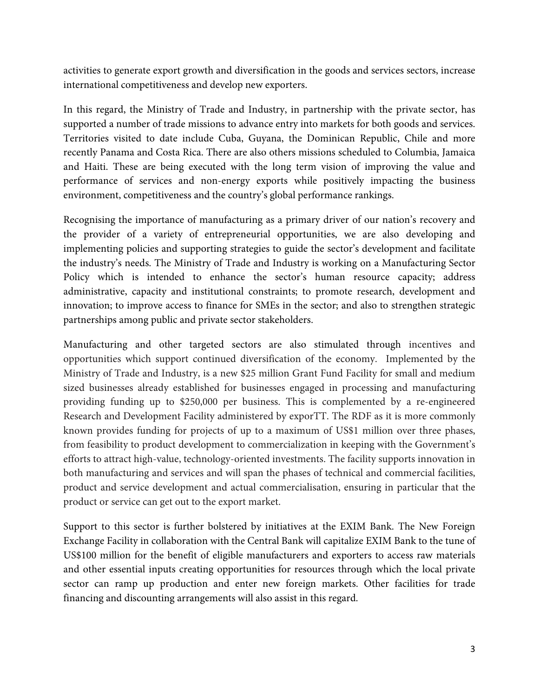activities to generate export growth and diversification in the goods and services sectors, increase international competitiveness and develop new exporters.

In this regard, the Ministry of Trade and Industry, in partnership with the private sector, has supported a number of trade missions to advance entry into markets for both goods and services. Territories visited to date include Cuba, Guyana, the Dominican Republic, Chile and more recently Panama and Costa Rica. There are also others missions scheduled to Columbia, Jamaica and Haiti. These are being executed with the long term vision of improving the value and performance of services and non-energy exports while positively impacting the business environment, competitiveness and the country's global performance rankings.

Recognising the importance of manufacturing as a primary driver of our nation's recovery and the provider of a variety of entrepreneurial opportunities, we are also developing and implementing policies and supporting strategies to guide the sector's development and facilitate the industry's needs. The Ministry of Trade and Industry is working on a Manufacturing Sector Policy which is intended to enhance the sector's human resource capacity; address administrative, capacity and institutional constraints; to promote research, development and innovation; to improve access to finance for SMEs in the sector; and also to strengthen strategic partnerships among public and private sector stakeholders.

Manufacturing and other targeted sectors are also stimulated through incentives and opportunities which support continued diversification of the economy. Implemented by the Ministry of Trade and Industry, is a new \$25 million Grant Fund Facility for small and medium sized businesses already established for businesses engaged in processing and manufacturing providing funding up to \$250,000 per business. This is complemented by a re-engineered Research and Development Facility administered by exporTT. The RDF as it is more commonly known provides funding for projects of up to a maximum of US\$1 million over three phases, from feasibility to product development to commercialization in keeping with the Government's efforts to attract high-value, technology-oriented investments. The facility supports innovation in both manufacturing and services and will span the phases of technical and commercial facilities, product and service development and actual commercialisation, ensuring in particular that the product or service can get out to the export market.

Support to this sector is further bolstered by initiatives at the EXIM Bank. The New Foreign Exchange Facility in collaboration with the Central Bank will capitalize EXIM Bank to the tune of US\$100 million for the benefit of eligible manufacturers and exporters to access raw materials and other essential inputs creating opportunities for resources through which the local private sector can ramp up production and enter new foreign markets. Other facilities for trade financing and discounting arrangements will also assist in this regard.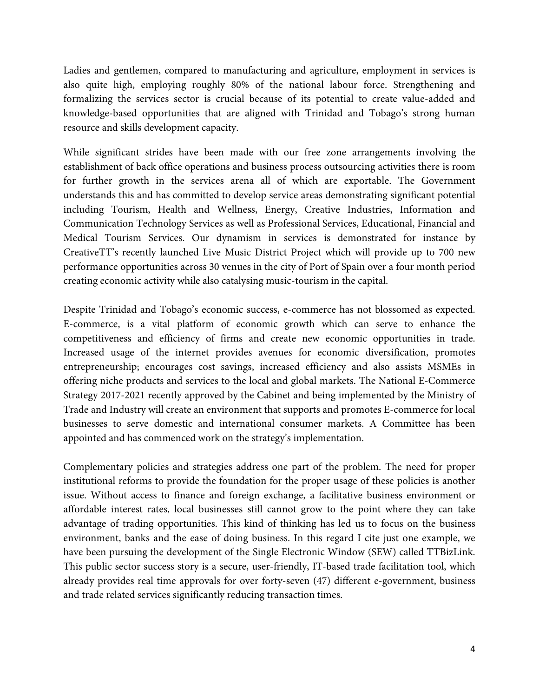Ladies and gentlemen, compared to manufacturing and agriculture, employment in services is also quite high, employing roughly 80% of the national labour force. Strengthening and formalizing the services sector is crucial because of its potential to create value-added and knowledge-based opportunities that are aligned with Trinidad and Tobago's strong human resource and skills development capacity.

While significant strides have been made with our free zone arrangements involving the establishment of back office operations and business process outsourcing activities there is room for further growth in the services arena all of which are exportable. The Government understands this and has committed to develop service areas demonstrating significant potential including Tourism, Health and Wellness, Energy, Creative Industries, Information and Communication Technology Services as well as Professional Services, Educational, Financial and Medical Tourism Services. Our dynamism in services is demonstrated for instance by CreativeTT's recently launched Live Music District Project which will provide up to 700 new performance opportunities across 30 venues in the city of Port of Spain over a four month period creating economic activity while also catalysing music-tourism in the capital.

Despite Trinidad and Tobago's economic success, e-commerce has not blossomed as expected. E-commerce, is a vital platform of economic growth which can serve to enhance the competitiveness and efficiency of firms and create new economic opportunities in trade. Increased usage of the internet provides avenues for economic diversification, promotes entrepreneurship; encourages cost savings, increased efficiency and also assists MSMEs in offering niche products and services to the local and global markets. The National E-Commerce Strategy 2017-2021 recently approved by the Cabinet and being implemented by the Ministry of Trade and Industry will create an environment that supports and promotes E-commerce for local businesses to serve domestic and international consumer markets. A Committee has been appointed and has commenced work on the strategy's implementation.

Complementary policies and strategies address one part of the problem. The need for proper institutional reforms to provide the foundation for the proper usage of these policies is another issue. Without access to finance and foreign exchange, a facilitative business environment or affordable interest rates, local businesses still cannot grow to the point where they can take advantage of trading opportunities. This kind of thinking has led us to focus on the business environment, banks and the ease of doing business. In this regard I cite just one example, we have been pursuing the development of the Single Electronic Window (SEW) called TTBizLink. This public sector success story is a secure, user-friendly, IT-based trade facilitation tool, which already provides real time approvals for over forty-seven (47) different e-government, business and trade related services significantly reducing transaction times.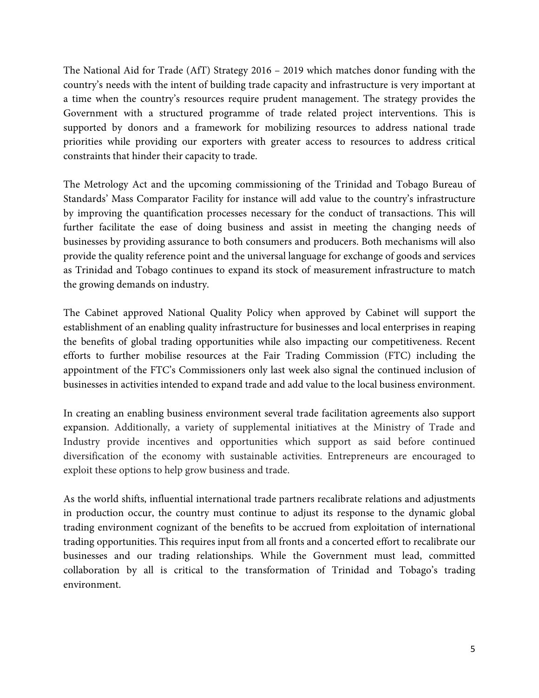The National Aid for Trade (AfT) Strategy 2016 – 2019 which matches donor funding with the country's needs with the intent of building trade capacity and infrastructure is very important at a time when the country's resources require prudent management. The strategy provides the Government with a structured programme of trade related project interventions. This is supported by donors and a framework for mobilizing resources to address national trade priorities while providing our exporters with greater access to resources to address critical constraints that hinder their capacity to trade.

The Metrology Act and the upcoming commissioning of the Trinidad and Tobago Bureau of Standards' Mass Comparator Facility for instance will add value to the country's infrastructure by improving the quantification processes necessary for the conduct of transactions. This will further facilitate the ease of doing business and assist in meeting the changing needs of businesses by providing assurance to both consumers and producers. Both mechanisms will also provide the quality reference point and the universal language for exchange of goods and services as Trinidad and Tobago continues to expand its stock of measurement infrastructure to match the growing demands on industry.

The Cabinet approved National Quality Policy when approved by Cabinet will support the establishment of an enabling quality infrastructure for businesses and local enterprises in reaping the benefits of global trading opportunities while also impacting our competitiveness. Recent efforts to further mobilise resources at the Fair Trading Commission (FTC) including the appointment of the FTC's Commissioners only last week also signal the continued inclusion of businesses in activities intended to expand trade and add value to the local business environment.

In creating an enabling business environment several trade facilitation agreements also support expansion. Additionally, a variety of supplemental initiatives at the Ministry of Trade and Industry provide incentives and opportunities which support as said before continued diversification of the economy with sustainable activities. Entrepreneurs are encouraged to exploit these options to help grow business and trade.

As the world shifts, influential international trade partners recalibrate relations and adjustments in production occur, the country must continue to adjust its response to the dynamic global trading environment cognizant of the benefits to be accrued from exploitation of international trading opportunities. This requires input from all fronts and a concerted effort to recalibrate our businesses and our trading relationships. While the Government must lead, committed collaboration by all is critical to the transformation of Trinidad and Tobago's trading environment.